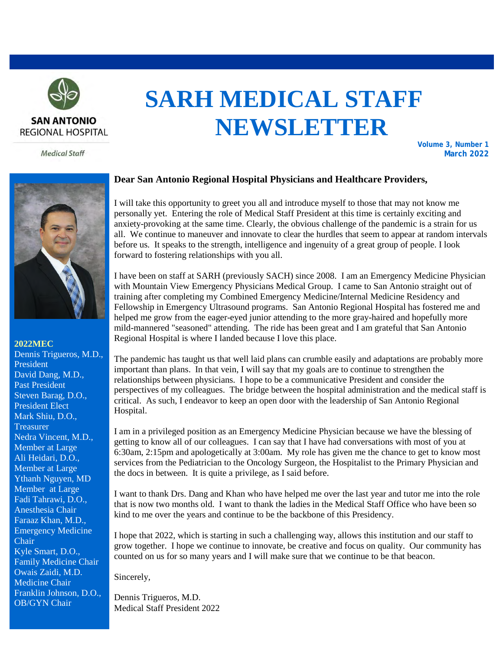

# **SARH MEDICAL STAFF NEWSLETTER**

**Volume 3, Number 1 March 2022**





#### **2022MEC**

Dennis Trigueros, M.D., President David Dang, M.D., Past President Steven Barag, D.O., President Elect Mark Shiu, D.O., **Treasurer** Nedra Vincent, M.D., Member at Large Ali Heidari, D.O., Member at Large Ythanh Nguyen, MD Member at Large Fadi Tahrawi, D.O., Anesthesia Chair Faraaz Khan, M.D., Emergency Medicine Chair Kyle Smart, D.O., Family Medicine Chair Owais Zaidi, M.D. Medicine Chair Franklin Johnson, D.O., OB/GYN Chair

#### **Dear San Antonio Regional Hospital Physicians and Healthcare Providers,**

I will take this opportunity to greet you all and introduce myself to those that may not know me personally yet. Entering the role of Medical Staff President at this time is certainly exciting and anxiety-provoking at the same time. Clearly, the obvious challenge of the pandemic is a strain for us all. We continue to maneuver and innovate to clear the hurdles that seem to appear at random intervals before us. It speaks to the strength, intelligence and ingenuity of a great group of people. I look forward to fostering relationships with you all.

I have been on staff at SARH (previously SACH) since 2008. I am an Emergency Medicine Physician with Mountain View Emergency Physicians Medical Group. I came to San Antonio straight out of training after completing my Combined Emergency Medicine/Internal Medicine Residency and Fellowship in Emergency Ultrasound programs. San Antonio Regional Hospital has fostered me and helped me grow from the eager-eyed junior attending to the more gray-haired and hopefully more mild-mannered "seasoned" attending. The ride has been great and I am grateful that San Antonio Regional Hospital is where I landed because I love this place.

The pandemic has taught us that well laid plans can crumble easily and adaptations are probably more important than plans. In that vein, I will say that my goals are to continue to strengthen the relationships between physicians. I hope to be a communicative President and consider the perspectives of my colleagues. The bridge between the hospital administration and the medical staff is critical. As such, I endeavor to keep an open door with the leadership of San Antonio Regional Hospital.

I am in a privileged position as an Emergency Medicine Physician because we have the blessing of getting to know all of our colleagues. I can say that I have had conversations with most of you at 6:30am, 2:15pm and apologetically at 3:00am. My role has given me the chance to get to know most services from the Pediatrician to the Oncology Surgeon, the Hospitalist to the Primary Physician and the docs in between. It is quite a privilege, as I said before.

I want to thank Drs. Dang and Khan who have helped me over the last year and tutor me into the role that is now two months old. I want to thank the ladies in the Medical Staff Office who have been so kind to me over the years and continue to be the backbone of this Presidency.

I hope that 2022, which is starting in such a challenging way, allows this institution and our staff to grow together. I hope we continue to innovate, be creative and focus on quality. Our community has counted on us for so many years and I will make sure that we continue to be that beacon.

Sincerely,

Dennis Trigueros, M.D. Medical Staff President 2022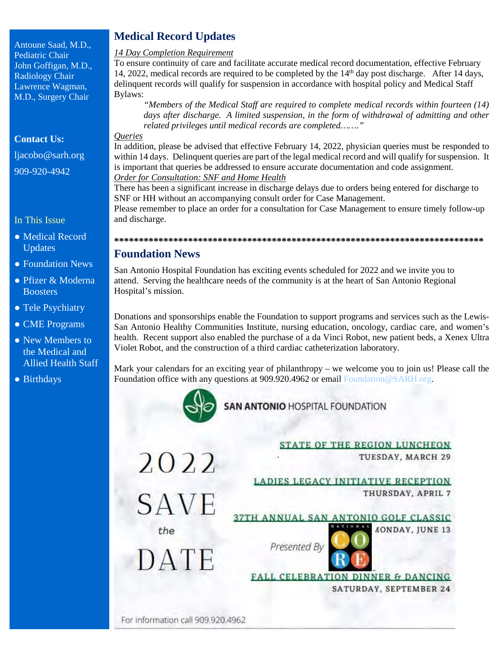Antoune Saad, M.D., Pediatric Chair John Goffigan, M.D., Radiology Chair Lawrence Wagman, M.D., Surgery Chair

**Contact Us:**

[ljacobo@sarh.org](mailto:ljacobo@sarh.org) 909-920-4942

# In This Issue

- Medical Record Updates
- Foundation News
- Pfizer & Moderna **Boosters**
- Tele Psychiatry
- CME Programs
- New Members to the Medical and Allied Health Staff
- Birthdays

# **Medical Record Updates**

## *14 Day Completion Requirement*

To ensure continuity of care and facilitate accurate medical record documentation, effective February 14, 2022, medical records are required to be completed by the 14<sup>th</sup> day post discharge. After 14 days, delinquent records will qualify for suspension in accordance with hospital policy and Medical Staff Bylaws:

*"Members of the Medical Staff are required to complete medical records within fourteen (14) days after discharge. A limited suspension, in the form of withdrawal of admitting and other related privileges until medical records are completed……."*

# *Queries*

In addition, please be advised that effective February 14, 2022, physician queries must be responded to within 14 days. Delinquent queries are part of the legal medical record and will qualify for suspension. It is important that queries be addressed to ensure accurate documentation and code assignment. *Order for Consultation: SNF and Home Health* 

There has been a significant increase in discharge delays due to orders being entered for discharge to SNF or HH without an accompanying consult order for Case Management.

Please remember to place an order for a consultation for Case Management to ensure timely follow-up and discharge.

# **\*\*\*\*\*\*\*\*\*\*\*\*\*\*\*\*\*\*\*\*\*\*\*\*\*\*\*\*\*\*\*\*\*\*\*\*\*\*\*\*\*\*\*\*\*\*\*\*\*\*\*\*\*\*\*\*\*\*\*\*\*\*\*\*\*\*\*\*\*\*\*\*\*\*\***

# **Foundation News**

San Antonio Hospital Foundation has exciting events scheduled for 2022 and we invite you to attend. Serving the healthcare needs of the community is at the heart of San Antonio Regional Hospital's mission.

Donations and sponsorships enable the Foundation to support programs and services such as the Lewis-San Antonio Healthy Communities Institute, nursing education, oncology, cardiac care, and women's health. Recent support also enabled the purchase of a da Vinci Robot, new patient beds, a Xenex Ultra Violet Robot, and the construction of a third cardiac catheterization laboratory.

Mark your calendars for an exciting year of philanthropy – we welcome you to join us! Please call the Foundation office with any questions at 909.920.4962 or email Foundation @SARH.org.



**SAN ANTONIO HOSPITAL FOUNDATION** 

|             | <b>STATE OF THE REGION LUNCHEON</b>          |
|-------------|----------------------------------------------|
| 2022        | TUESDAY, MARCH 29                            |
|             | <b>LADIES LEGACY INITIATIVE RECEPTION</b>    |
| <b>SAVE</b> | THURSDAY, APRIL 7                            |
|             | 37TH ANNUAL SAN ANTONIO GOLF CLASSIC         |
| the         | <b><i>AONDAY, JUNE 13</i></b>                |
| DATE        | Presented By                                 |
|             | <b>FALL CELEBRATION DINNER &amp; DANCING</b> |
|             | SATURDAY, SEPTEMBER 24                       |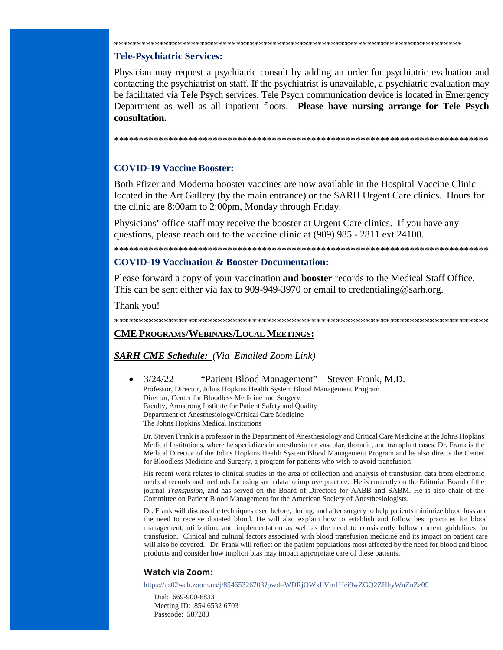# **Tele-Psychiatric Services:**

Physician may request a psychiatric consult by adding an order for psychiatric evaluation and contacting the psychiatrist on staff. If the psychiatrist is unavailable, a psychiatric evaluation may be facilitated via Tele Psych services. Tele Psych communication device is located in Emergency Department as well as all inpatient floors. **Please have nursing arrange for Tele Psych consultation.**

\*\*\*\*\*\*\*\*\*\*\*\*\*\*\*\*\*\*\*\*\*\*\*\*\*\*\*\*\*\*\*\*\*\*\*\*\*\*\*\*\*\*\*\*\*\*\*\*\*\*\*\*\*\*\*\*\*\*\*\*\*\*\*\*\*\*\*\*\*\*\*\*\*\*\*\*\*

\*\*\*\*\*\*\*\*\*\*\*\*\*\*\*\*\*\*\*\*\*\*\*\*\*\*\*\*\*\*\*\*\*\*\*\*\*\*\*\*\*\*\*\*\*\*\*\*\*\*\*\*\*\*\*\*\*\*\*\*\*\*\*\*\*\*\*\*\*\*\*\*\*\*\*\*

# **COVID-19 Vaccine Booster:**

Both Pfizer and Moderna booster vaccines are now available in the Hospital Vaccine Clinic located in the Art Gallery (by the main entrance) or the SARH Urgent Care clinics. Hours for the clinic are 8:00am to 2:00pm, Monday through Friday.

Physicians' office staff may receive the booster at Urgent Care clinics. If you have any questions, please reach out to the vaccine clinic at (909) 985 - 2811 ext 24100.

\*\*\*\*\*\*\*\*\*\*\*\*\*\*\*\*\*\*\*\*\*\*\*\*\*\*\*\*\*\*\*\*\*\*\*\*\*\*\*\*\*\*\*\*\*\*\*\*\*\*\*\*\*\*\*\*\*\*\*\*\*\*\*\*\*\*\*\*\*\*\*\*\*\*\*\*

#### **COVID-19 Vaccination & Booster Documentation:**

Please forward a copy of your vaccination **and booster** records to the Medical Staff Office. This can be sent either via fax to 909-949-3970 or email to credentialing @sarh.org.

Thank you!

\*\*\*\*\*\*\*\*\*\*\*\*\*\*\*\*\*\*\*\*\*\*\*\*\*\*\*\*\*\*\*\*\*\*\*\*\*\*\*\*\*\*\*\*\*\*\*\*\*\*\*\*\*\*\*\*\*\*\*\*\*\*\*\*\*\*\*\*\*\*\*\*\*\*\*\*

# **CME PROGRAMS/WEBINARS/LOCAL MEETINGS:**

### *SARH CME Schedule: (Via Emailed Zoom Link)*

• 3/24/22 "Patient Blood Management" – Steven Frank, M.D. Professor, Director, Johns Hopkins Health System Blood Management Program Director, Center for Bloodless Medicine and Surgery Faculty, Armstrong Institute for Patient Safety and Quality Department of Anesthesiology/Critical Care Medicine The Johns Hopkins Medical Institutions

Dr. Steven Frank is a professor in the Department of Anesthesiology and Critical Care Medicine at the Johns Hopkins Medical Institutions, where he specializes in anesthesia for vascular, thoracic, and transplant cases. Dr. Frank is the Medical Director of the Johns Hopkins Health System Blood Management Program and he also directs the Center for Bloodless Medicine and Surgery, a program for patients who wish to avoid transfusion.

His recent work relates to clinical studies in the area of collection and analysis of transfusion data from electronic medical records and methods for using such data to improve practice. He is currently on the Editorial Board of the journal *Transfusion*, and has served on the Board of Directors for AABB and SABM. He is also chair of the Committee on Patient Blood Management for the American Society of Anesthesiologists.

Dr. Frank will discuss the techniques used before, during, and after surgery to help patients minimize blood loss and the need to receive donated blood. He will also explain how to establish and follow best practices for blood management, utilization, and implementation as well as the need to consistently follow current guidelines for transfusion. Clinical and cultural factors associated with blood transfusion medicine and its impact on patient care will also be covered. Dr. Frank will reflect on the patient populations most affected by the need for blood and blood products and consider how implicit bias may impact appropriate care of these patients.

#### **Watch via Zoom:**

https://us02web.zoom.us/j/85465326703?pwd=WDRjOWxLVm1Hei9wZGQ2ZHhyWnZnZz09

Dial: 669-900-6833 Meeting ID: 854 6532 6703 Passcode: 587283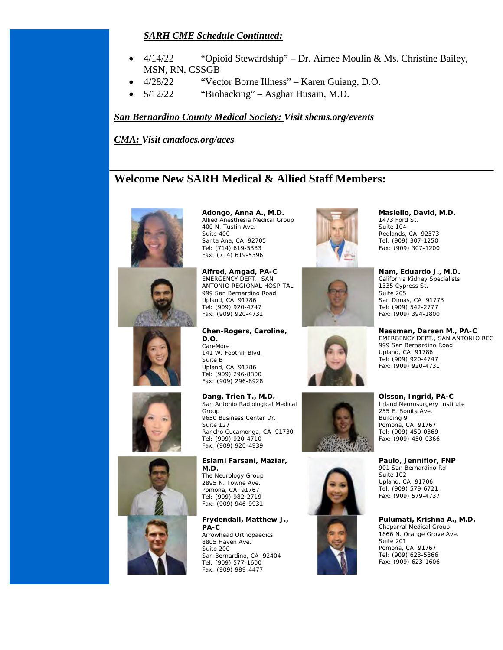# *SARH CME Schedule Continued:*

- $4/14/22$  "Opioid Stewardship" Dr. Aimee Moulin & Ms. Christine Bailey, MSN, RN, CSSGB
- 4/28/22 "Vector Borne Illness" Karen Guiang, D.O.
- 5/12/22 "Biohacking" Asghar Husain, M.D.

# *San Bernardino County Medical Society: Visit sbcms.org/events*

*CMA: Visit cmadocs.org/aces* 

# **Welcome New SARH Medical & Allied Staff Members:**











**Adongo, Anna A., M.D.** Allied Anesthesia Medical Group 400 N. Tustin Ave. Suite 400 Santa Ana, CA 92705 Tel: (714) 619-5383 Fax: (714) 619-5396

**Alfred, Amgad, PA-C** EMERGENCY DEPT., SAN ANTONIO REGIONAL HOSPITAL 999 San Bernardino Road Upland, CA 91786 Tel: (909) 920-4747 Fax: (909) 920-4731

**Chen-Rogers, Caroline, D.O.** CareMore 141 W. Foothill Blvd. Suite B Upland, CA 91786 Tel: (909) 296-8800 Fax: (909) 296-8928

**Dang, Trien T., M.D.** San Antonio Radiological Medical Group 9650 Business Center Dr. Suite 127 Rancho Cucamonga, CA 91730 Tel: (909) 920-4710 Fax: (909) 920-4939

**Eslami Farsani, Maziar, M.D.** The Neurology Group 2895 N. Towne Ave. Pomona, CA 91767 Tel: (909) 982-2719 Fax: (909) 946-9931

**Frydendall, Matthew J., PA-C** Arrowhead Orthopaedics 8805 Haven Ave. Suite 200 San Bernardino, CA 92404 Tel: (909) 577-1600 Fax: (909) 989-4477





**Nam, Eduardo J., M.D.** California Kidney Specialists 1335 Cypress St. Suite 205 San Dimas, CA 91773 Tel: (909) 542-2777 Fax: (909) 394-1800

**Nassman, Dareen M., PA-C** EMERGENCY DEPT., SAN ANTONIO REG 999 San Bernardino Road Upland, CA 91786 Tel: (909) 920-4747 Fax: (909) 920-4731



**Olsson, Ingrid, PA-C** Inland Neurosurgery Institute 255 E. Bonita Ave. Building 9 Pomona, CA 91767 Tel: (909) 450-0369 Fax: (909) 450-0366

**Paulo, Jenniflor, FNP** 901 San Bernardino Rd Suite 102 Upland, CA 91706 Tel: (909) 579-6721 Fax: (909) 579-4737

**Pulumati, Krishna A., M.D.**

Chaparral Medical Group 1866 N. Orange Grove Ave. Suite 201 Pomona, CA 91767 Tel: (909) 623-5866 Fax: (909) 623-1606

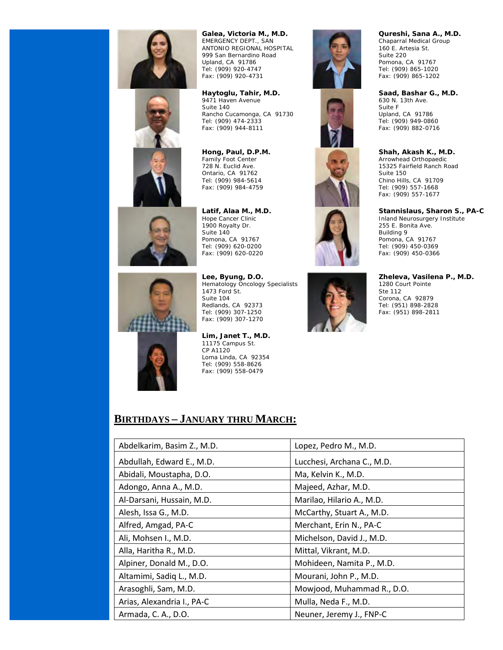

EMERGENCY DEPT., SAN ANTONIO REGIONAL HOSPITAL 999 San Bernardino Road Upland, CA 91786 Tel: (909) 920-4747 Fax: (909) 920-4731

**Galea, Victoria M., M.D.**

**Haytoglu, Tahir, M.D.** 9471 Haven Avenue Suite 140 Rancho Cucamonga, CA 91730 Tel: (909) 474-2333 Fax: (909) 944-8111

**Hong, Paul, D.P.M.** Family Foot Center 728 N. Euclid Ave. Ontario, CA 91762 Tel: (909) 984-5614 Fax: (909) 984-4759

**Latif, Alaa M., M.D.** Hope Cancer Clinic 1900 Royalty Dr. Suite 140 Pomona, CA 91767 Tel: (909) 620-0200 Fax: (909) 620-0220

**Lee, Byung, D.O.** Hematology Oncology Specialists 1473 Ford St. Suite 104 Redlands, CA 92373 Tel: (909) 307-1250 Fax: (909) 307-1270

**Lim, Janet T., M.D.** 11175 Campus St. CP A1120 Loma Linda, CA 92354 Tel: (909) 558-8626 Fax: (909) 558-0479

# **BIRTHDAYS – JANUARY THRU MARCH:**

| Abdelkarim, Basim Z., M.D. | Lopez, Pedro M., M.D.      |
|----------------------------|----------------------------|
| Abdullah, Edward E., M.D.  | Lucchesi, Archana C., M.D. |
| Abidali, Moustapha, D.O.   | Ma, Kelvin K., M.D.        |
| Adongo, Anna A., M.D.      | Majeed, Azhar, M.D.        |
| Al-Darsani, Hussain, M.D.  | Marilao, Hilario A., M.D.  |
| Alesh, Issa G., M.D.       | McCarthy, Stuart A., M.D.  |
| Alfred, Amgad, PA-C        | Merchant, Erin N., PA-C    |
| Ali, Mohsen I., M.D.       | Michelson, David J., M.D.  |
| Alla, Haritha R., M.D.     | Mittal, Vikrant, M.D.      |
| Alpiner, Donald M., D.O.   | Mohideen, Namita P., M.D.  |
| Altamimi, Sadiq L., M.D.   | Mourani, John P., M.D.     |
| Arasoghli, Sam, M.D.       | Mowjood, Muhammad R., D.O. |
| Arias, Alexandria I., PA-C | Mulla, Neda F., M.D.       |
| Armada, C. A., D.O.        | Neuner, Jeremy J., FNP-C   |

**Qureshi, Sana A., M.D.** Chaparral Medical Group 160 E. Artesia St. Suite 220 Pomona, CA 91767 Tel: (909) 865-1020 Fax: (909) 865-1202

**Saad, Bashar G., M.D.** 630 N. 13th Ave. Suite F Upland, CA 91786 Tel: (909) 949-0860 Fax: (909) 882-0716

#### **Shah, Akash K., M.D.**

Arrowhead Orthopaedic 15325 Fairfield Ranch Road Suite 150 Chino Hills, CA 91709 Tel: (909) 557-1668 Fax: (909) 557-1677

#### **Stannislaus, Sharon S., PA-C**

Inland Neurosurgery Institute 255 E. Bonita Ave. Building 9 Pomona, CA 91767 Tel: (909) 450-0369 Fax: (909) 450-0366

#### **Zheleva, Vasilena P., M.D.**

1280 Court Pointe Ste 112 Corona, CA 92879 Tel: (951) 898-2828 Fax: (951) 898-2811













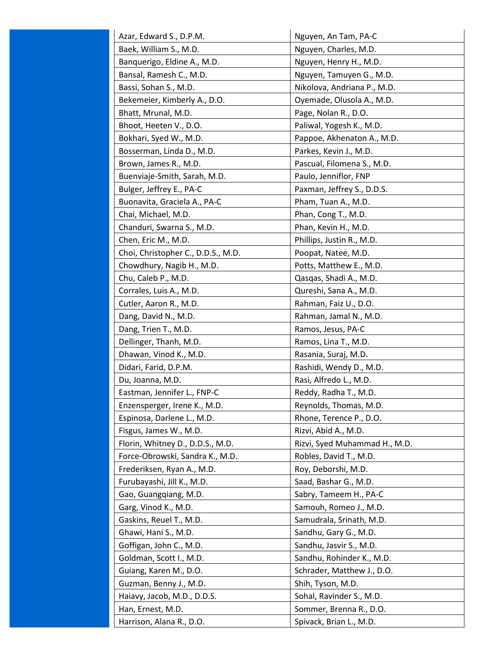| Azar, Edward S., D.P.M.            | Nguyen, An Tam, PA-C          |
|------------------------------------|-------------------------------|
| Baek, William S., M.D.             | Nguyen, Charles, M.D.         |
| Banquerigo, Eldine A., M.D.        | Nguyen, Henry H., M.D.        |
| Bansal, Ramesh C., M.D.            | Nguyen, Tamuyen G., M.D.      |
| Bassi, Sohan S., M.D.              | Nikolova, Andriana P., M.D.   |
| Bekemeier, Kimberly A., D.O.       | Oyemade, Olusola A., M.D.     |
| Bhatt, Mrunal, M.D.                | Page, Nolan R., D.O.          |
| Bhoot, Heeten V., D.O.             | Paliwal, Yogesh K., M.D.      |
| Bokhari, Syed W., M.D.             | Pappoe, Akhenaton A., M.D.    |
| Bosserman, Linda D., M.D.          | Parkes, Kevin J., M.D.        |
| Brown, James R., M.D.              | Pascual, Filomena S., M.D.    |
| Buenviaje-Smith, Sarah, M.D.       | Paulo, Jenniflor, FNP         |
| Bulger, Jeffrey E., PA-C           | Paxman, Jeffrey S., D.D.S.    |
| Buonavita, Graciela A., PA-C       | Pham, Tuan A., M.D.           |
| Chai, Michael, M.D.                | Phan, Cong T., M.D.           |
| Chanduri, Swarna S., M.D.          | Phan, Kevin H., M.D.          |
| Chen, Eric M., M.D.                | Phillips, Justin R., M.D.     |
| Choi, Christopher C., D.D.S., M.D. | Poopat, Natee, M.D.           |
| Chowdhury, Nagib H., M.D.          | Potts, Matthew E., M.D.       |
| Chu, Caleb P., M.D.                | Qasqas, Shadi A., M.D.        |
| Corrales, Luis A., M.D.            | Qureshi, Sana A., M.D.        |
| Cutler, Aaron R., M.D.             | Rahman, Faiz U., D.O.         |
| Dang, David N., M.D.               | Rahman, Jamal N., M.D.        |
| Dang, Trien T., M.D.               | Ramos, Jesus, PA-C            |
| Dellinger, Thanh, M.D.             | Ramos, Lina T., M.D.          |
| Dhawan, Vinod K., M.D.             | Rasania, Suraj, M.D.          |
| Didari, Farid, D.P.M.              | Rashidi, Wendy D., M.D.       |
| Du, Joanna, M.D.                   | Rasi, Alfredo L., M.D.        |
| Eastman, Jennifer L., FNP-C        | Reddy, Radha T., M.D.         |
| Enzensperger, Irene K., M.D.       | Reynolds, Thomas, M.D.        |
| Espinosa, Darlene L., M.D.         | Rhone, Terence P., D.O.       |
| Fisgus, James W., M.D.             | Rizvi, Abid A., M.D.          |
| Florin, Whitney D., D.D.S., M.D.   | Rizvi, Syed Muhammad H., M.D. |
| Force-Obrowski, Sandra K., M.D.    | Robles, David T., M.D.        |
| Frederiksen, Ryan A., M.D.         | Roy, Deborshi, M.D.           |
| Furubayashi, Jill K., M.D.         | Saad, Bashar G., M.D.         |
| Gao, Guangqiang, M.D.              | Sabry, Tameem H., PA-C        |
| Garg, Vinod K., M.D.               | Samouh, Romeo J., M.D.        |
| Gaskins, Reuel T., M.D.            | Samudrala, Srinath, M.D.      |
| Ghawi, Hani S., M.D.               | Sandhu, Gary G., M.D.         |
| Goffigan, John C., M.D.            | Sandhu, Jasvir S., M.D.       |
| Goldman, Scott I., M.D.            | Sandhu, Rohinder K., M.D.     |
| Guiang, Karen M., D.O.             | Schrader, Matthew J., D.O.    |
| Guzman, Benny J., M.D.             | Shih, Tyson, M.D.             |
| Haiavy, Jacob, M.D., D.D.S.        | Sohal, Ravinder S., M.D.      |
| Han, Ernest, M.D.                  | Sommer, Brenna R., D.O.       |
| Harrison, Alana R., D.O.           | Spivack, Brian L., M.D.       |